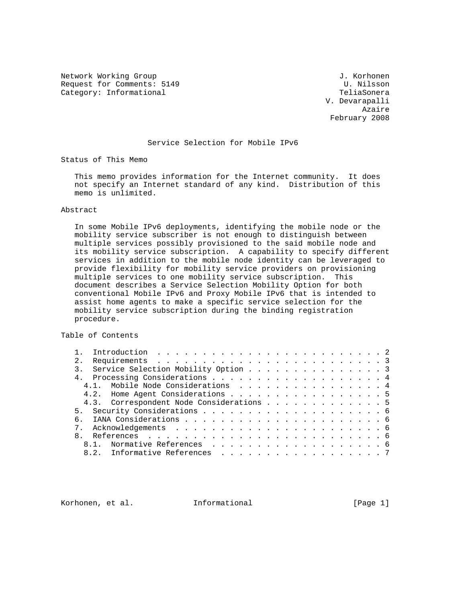Network Working Group 3. Wetwork Working Group 3. The United States of the United States of the United States o Request for Comments: 5149 U. Nilsson<br>
Category: Informational U. Nilsson<br>
Category: Informational Category: Informational

 V. Devarapalli Azaire February 2008

### Service Selection for Mobile IPv6

Status of This Memo

 This memo provides information for the Internet community. It does not specify an Internet standard of any kind. Distribution of this memo is unlimited.

# Abstract

 In some Mobile IPv6 deployments, identifying the mobile node or the mobility service subscriber is not enough to distinguish between multiple services possibly provisioned to the said mobile node and its mobility service subscription. A capability to specify different services in addition to the mobile node identity can be leveraged to provide flexibility for mobility service providers on provisioning multiple services to one mobility service subscription. This document describes a Service Selection Mobility Option for both conventional Mobile IPv6 and Proxy Mobile IPv6 that is intended to assist home agents to make a specific service selection for the mobility service subscription during the binding registration procedure.

Table of Contents

| 2. |                                          |  |  |  |  |  |  |  |
|----|------------------------------------------|--|--|--|--|--|--|--|
|    | Service Selection Mobility Option 3      |  |  |  |  |  |  |  |
|    | 4. Processing Considerations 4           |  |  |  |  |  |  |  |
|    | 4.1. Mobile Node Considerations 4        |  |  |  |  |  |  |  |
|    | 4.2. Home Agent Considerations 5         |  |  |  |  |  |  |  |
|    | 4.3. Correspondent Node Considerations 5 |  |  |  |  |  |  |  |
|    |                                          |  |  |  |  |  |  |  |
| б. |                                          |  |  |  |  |  |  |  |
|    |                                          |  |  |  |  |  |  |  |
|    |                                          |  |  |  |  |  |  |  |
|    |                                          |  |  |  |  |  |  |  |
|    | 8.2. Informative References 7            |  |  |  |  |  |  |  |

Korhonen, et al. 1nformational (Page 1)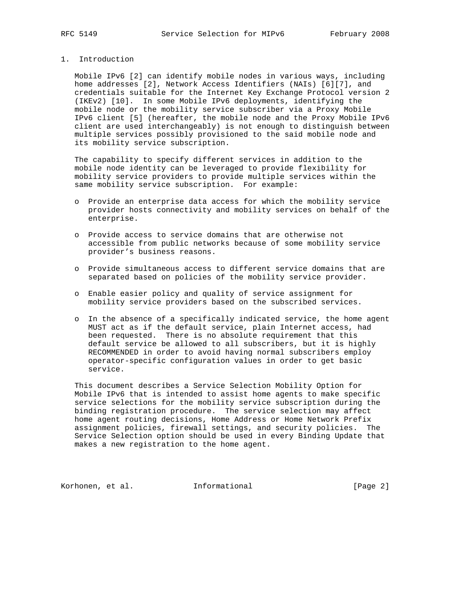### 1. Introduction

 Mobile IPv6 [2] can identify mobile nodes in various ways, including home addresses [2], Network Access Identifiers (NAIs) [6][7], and credentials suitable for the Internet Key Exchange Protocol version 2 (IKEv2) [10]. In some Mobile IPv6 deployments, identifying the mobile node or the mobility service subscriber via a Proxy Mobile IPv6 client [5] (hereafter, the mobile node and the Proxy Mobile IPv6 client are used interchangeably) is not enough to distinguish between multiple services possibly provisioned to the said mobile node and its mobility service subscription.

 The capability to specify different services in addition to the mobile node identity can be leveraged to provide flexibility for mobility service providers to provide multiple services within the same mobility service subscription. For example:

- o Provide an enterprise data access for which the mobility service provider hosts connectivity and mobility services on behalf of the enterprise.
- o Provide access to service domains that are otherwise not accessible from public networks because of some mobility service provider's business reasons.
- o Provide simultaneous access to different service domains that are separated based on policies of the mobility service provider.
- o Enable easier policy and quality of service assignment for mobility service providers based on the subscribed services.
- o In the absence of a specifically indicated service, the home agent MUST act as if the default service, plain Internet access, had been requested. There is no absolute requirement that this default service be allowed to all subscribers, but it is highly RECOMMENDED in order to avoid having normal subscribers employ operator-specific configuration values in order to get basic service.

 This document describes a Service Selection Mobility Option for Mobile IPv6 that is intended to assist home agents to make specific service selections for the mobility service subscription during the binding registration procedure. The service selection may affect home agent routing decisions, Home Address or Home Network Prefix assignment policies, firewall settings, and security policies. The Service Selection option should be used in every Binding Update that makes a new registration to the home agent.

Korhonen, et al. 1nformational 1999 [Page 2]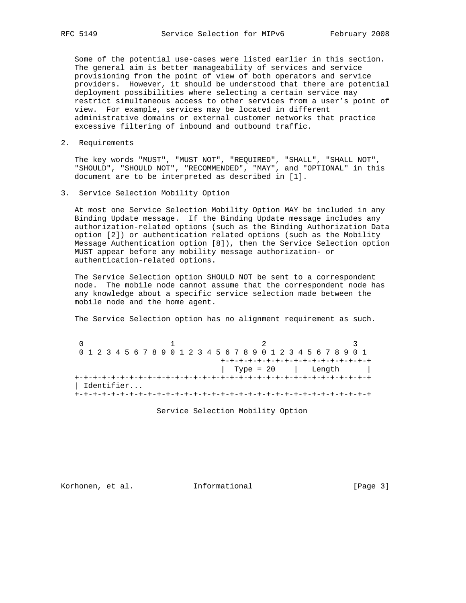Some of the potential use-cases were listed earlier in this section. The general aim is better manageability of services and service provisioning from the point of view of both operators and service providers. However, it should be understood that there are potential deployment possibilities where selecting a certain service may restrict simultaneous access to other services from a user's point of view. For example, services may be located in different administrative domains or external customer networks that practice excessive filtering of inbound and outbound traffic.

2. Requirements

 The key words "MUST", "MUST NOT", "REQUIRED", "SHALL", "SHALL NOT", "SHOULD", "SHOULD NOT", "RECOMMENDED", "MAY", and "OPTIONAL" in this document are to be interpreted as described in [1].

3. Service Selection Mobility Option

 At most one Service Selection Mobility Option MAY be included in any Binding Update message. If the Binding Update message includes any authorization-related options (such as the Binding Authorization Data option [2]) or authentication related options (such as the Mobility Message Authentication option [8]), then the Service Selection option MUST appear before any mobility message authorization- or authentication-related options.

 The Service Selection option SHOULD NOT be sent to a correspondent node. The mobile node cannot assume that the correspondent node has any knowledge about a specific service selection made between the mobile node and the home agent.

The Service Selection option has no alignment requirement as such.

|  | 0 1 2 3 4 5 6 7 8 9 0 1 2 3 4 5 6 7 8 9 0 1 2 3 4 5 6 7 8 9 0 1 |  |  |  |  |  |  |  |  |  |                    |  |  |  |                                     |
|--|-----------------------------------------------------------------|--|--|--|--|--|--|--|--|--|--------------------|--|--|--|-------------------------------------|
|  |                                                                 |  |  |  |  |  |  |  |  |  |                    |  |  |  | +-+-+-+-+-+-+-+-+-+-+-+-+-+-+-+-+-+ |
|  |                                                                 |  |  |  |  |  |  |  |  |  | $Type = 20$ Length |  |  |  |                                     |
|  |                                                                 |  |  |  |  |  |  |  |  |  |                    |  |  |  |                                     |
|  | Identifier                                                      |  |  |  |  |  |  |  |  |  |                    |  |  |  |                                     |
|  |                                                                 |  |  |  |  |  |  |  |  |  |                    |  |  |  |                                     |

Service Selection Mobility Option

Korhonen, et al. 1nformational 1999 [Page 3]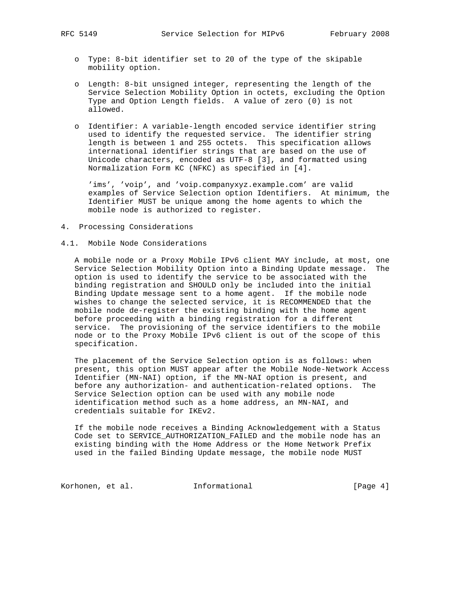- o Type: 8-bit identifier set to 20 of the type of the skipable mobility option.
- o Length: 8-bit unsigned integer, representing the length of the Service Selection Mobility Option in octets, excluding the Option Type and Option Length fields. A value of zero (0) is not allowed.
- o Identifier: A variable-length encoded service identifier string used to identify the requested service. The identifier string length is between 1 and 255 octets. This specification allows international identifier strings that are based on the use of Unicode characters, encoded as UTF-8 [3], and formatted using Normalization Form KC (NFKC) as specified in [4].

 'ims', 'voip', and 'voip.companyxyz.example.com' are valid examples of Service Selection option Identifiers. At minimum, the Identifier MUST be unique among the home agents to which the mobile node is authorized to register.

4. Processing Considerations

#### 4.1. Mobile Node Considerations

 A mobile node or a Proxy Mobile IPv6 client MAY include, at most, one Service Selection Mobility Option into a Binding Update message. The option is used to identify the service to be associated with the binding registration and SHOULD only be included into the initial Binding Update message sent to a home agent. If the mobile node wishes to change the selected service, it is RECOMMENDED that the mobile node de-register the existing binding with the home agent before proceeding with a binding registration for a different service. The provisioning of the service identifiers to the mobile node or to the Proxy Mobile IPv6 client is out of the scope of this specification.

 The placement of the Service Selection option is as follows: when present, this option MUST appear after the Mobile Node-Network Access Identifier (MN-NAI) option, if the MN-NAI option is present, and before any authorization- and authentication-related options. The Service Selection option can be used with any mobile node identification method such as a home address, an MN-NAI, and credentials suitable for IKEv2.

 If the mobile node receives a Binding Acknowledgement with a Status Code set to SERVICE AUTHORIZATION FAILED and the mobile node has an existing binding with the Home Address or the Home Network Prefix used in the failed Binding Update message, the mobile node MUST

Korhonen, et al. 1nformational 1999 [Page 4]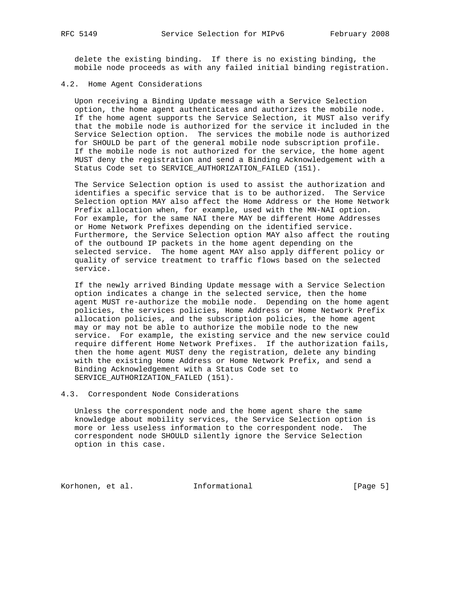delete the existing binding. If there is no existing binding, the mobile node proceeds as with any failed initial binding registration.

#### 4.2. Home Agent Considerations

 Upon receiving a Binding Update message with a Service Selection option, the home agent authenticates and authorizes the mobile node. If the home agent supports the Service Selection, it MUST also verify that the mobile node is authorized for the service it included in the Service Selection option. The services the mobile node is authorized for SHOULD be part of the general mobile node subscription profile. If the mobile node is not authorized for the service, the home agent MUST deny the registration and send a Binding Acknowledgement with a Status Code set to SERVICE\_AUTHORIZATION\_FAILED (151).

 The Service Selection option is used to assist the authorization and identifies a specific service that is to be authorized. The Service Selection option MAY also affect the Home Address or the Home Network Prefix allocation when, for example, used with the MN-NAI option. For example, for the same NAI there MAY be different Home Addresses or Home Network Prefixes depending on the identified service. Furthermore, the Service Selection option MAY also affect the routing of the outbound IP packets in the home agent depending on the selected service. The home agent MAY also apply different policy or quality of service treatment to traffic flows based on the selected service.

 If the newly arrived Binding Update message with a Service Selection option indicates a change in the selected service, then the home agent MUST re-authorize the mobile node. Depending on the home agent policies, the services policies, Home Address or Home Network Prefix allocation policies, and the subscription policies, the home agent may or may not be able to authorize the mobile node to the new service. For example, the existing service and the new service could require different Home Network Prefixes. If the authorization fails, then the home agent MUST deny the registration, delete any binding with the existing Home Address or Home Network Prefix, and send a Binding Acknowledgement with a Status Code set to SERVICE\_AUTHORIZATION\_FAILED (151).

4.3. Correspondent Node Considerations

 Unless the correspondent node and the home agent share the same knowledge about mobility services, the Service Selection option is more or less useless information to the correspondent node. The correspondent node SHOULD silently ignore the Service Selection option in this case.

Korhonen, et al. 1nformational 1999 [Page 5]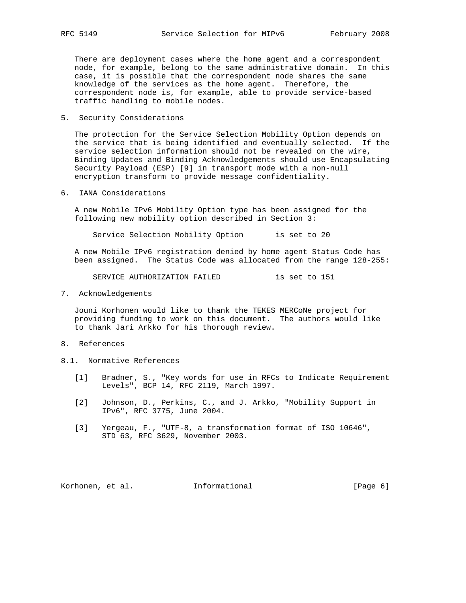There are deployment cases where the home agent and a correspondent node, for example, belong to the same administrative domain. In this case, it is possible that the correspondent node shares the same knowledge of the services as the home agent. Therefore, the correspondent node is, for example, able to provide service-based traffic handling to mobile nodes.

5. Security Considerations

 The protection for the Service Selection Mobility Option depends on the service that is being identified and eventually selected. If the service selection information should not be revealed on the wire, Binding Updates and Binding Acknowledgements should use Encapsulating Security Payload (ESP) [9] in transport mode with a non-null encryption transform to provide message confidentiality.

6. IANA Considerations

 A new Mobile IPv6 Mobility Option type has been assigned for the following new mobility option described in Section 3:

Service Selection Mobility Option is set to 20

 A new Mobile IPv6 registration denied by home agent Status Code has been assigned. The Status Code was allocated from the range 128-255:

SERVICE\_AUTHORIZATION\_FAILED is set to 151

7. Acknowledgements

 Jouni Korhonen would like to thank the TEKES MERCoNe project for providing funding to work on this document. The authors would like to thank Jari Arkko for his thorough review.

- 8. References
- 8.1. Normative References
	- [1] Bradner, S., "Key words for use in RFCs to Indicate Requirement Levels", BCP 14, RFC 2119, March 1997.
	- [2] Johnson, D., Perkins, C., and J. Arkko, "Mobility Support in IPv6", RFC 3775, June 2004.
	- [3] Yergeau, F., "UTF-8, a transformation format of ISO 10646", STD 63, RFC 3629, November 2003.

Korhonen, et al. 1nformational [Page 6]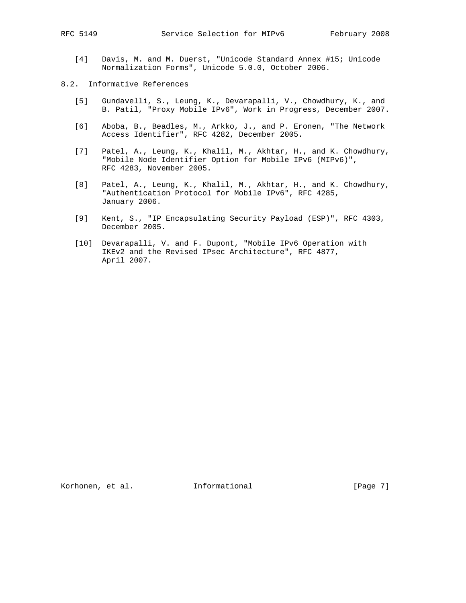[4] Davis, M. and M. Duerst, "Unicode Standard Annex #15; Unicode Normalization Forms", Unicode 5.0.0, October 2006.

# 8.2. Informative References

- [5] Gundavelli, S., Leung, K., Devarapalli, V., Chowdhury, K., and B. Patil, "Proxy Mobile IPv6", Work in Progress, December 2007.
- [6] Aboba, B., Beadles, M., Arkko, J., and P. Eronen, "The Network Access Identifier", RFC 4282, December 2005.
- [7] Patel, A., Leung, K., Khalil, M., Akhtar, H., and K. Chowdhury, "Mobile Node Identifier Option for Mobile IPv6 (MIPv6)", RFC 4283, November 2005.
- [8] Patel, A., Leung, K., Khalil, M., Akhtar, H., and K. Chowdhury, "Authentication Protocol for Mobile IPv6", RFC 4285, January 2006.
- [9] Kent, S., "IP Encapsulating Security Payload (ESP)", RFC 4303, December 2005.
- [10] Devarapalli, V. and F. Dupont, "Mobile IPv6 Operation with IKEv2 and the Revised IPsec Architecture", RFC 4877, April 2007.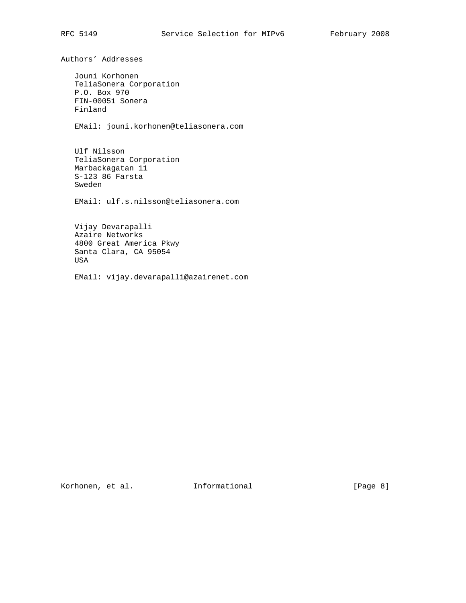Authors' Addresses

 Jouni Korhonen TeliaSonera Corporation P.O. Box 970 FIN-00051 Sonera Finland

EMail: jouni.korhonen@teliasonera.com

 Ulf Nilsson TeliaSonera Corporation Marbackagatan 11 S-123 86 Farsta Sweden

EMail: ulf.s.nilsson@teliasonera.com

 Vijay Devarapalli Azaire Networks 4800 Great America Pkwy Santa Clara, CA 95054 USA

EMail: vijay.devarapalli@azairenet.com

Korhonen, et al. 1nformational 1999 [Page 8]